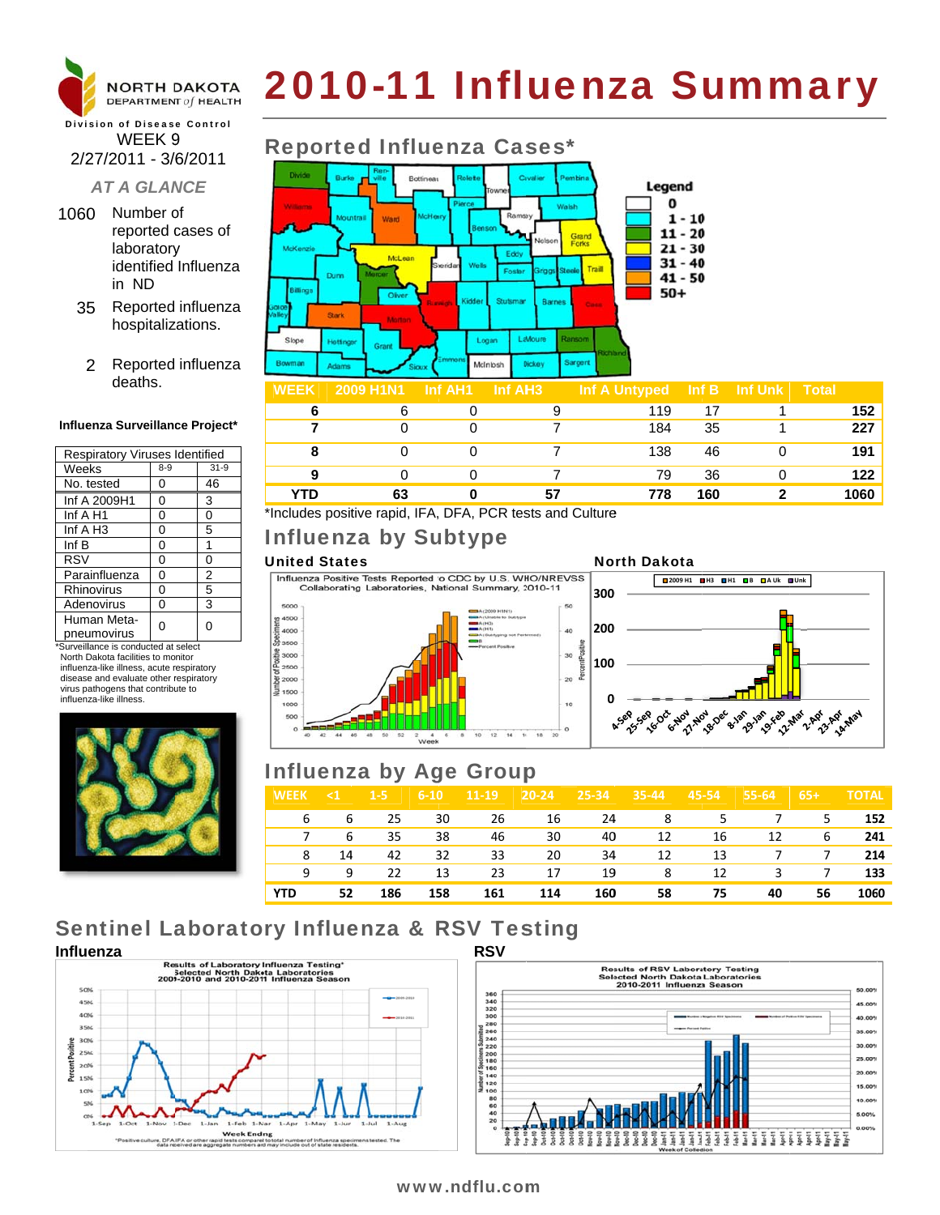

# 2010-11 Influenza Summary

## **Division of Disease Control** WEEK<sub>9</sub> 2/27/2011 - 3/6/2011

## **AT A GLANCE**

- 1060 Number of reported cases of laboratory identified Influenza in ND
	- 35 Reported influenza hospitalizations.
		- 2 Reported influenza deaths.

#### Influenza Surveillance Project\*

| <b>Respiratory Viruses Identified</b> |         |          |  |  |  |  |
|---------------------------------------|---------|----------|--|--|--|--|
| Weeks                                 | $8 - 9$ | $31 - 9$ |  |  |  |  |
| No. tested                            | 0       | 46       |  |  |  |  |
| Inf A 2009H1                          | 0       | 3        |  |  |  |  |
| Inf A H1                              | 0       | 0        |  |  |  |  |
| Inf $A$ H <sub>3</sub>                | 0       | 5        |  |  |  |  |
| Inf B                                 | 0       | 1        |  |  |  |  |
| <b>RSV</b>                            | 0       | 0        |  |  |  |  |
| Parainfluenza                         | 0       | 2        |  |  |  |  |
| Rhinovirus                            | 0       | 5        |  |  |  |  |
| Adenovirus                            | 0       | 3        |  |  |  |  |
| Human Meta-<br>pneumovirus            |         | 0        |  |  |  |  |

\*Surveillance is conducted at select North Dakota facilities to monitor influenza-like illness, acute respiratory disease and evaluate other respiratory virus pathogens that contribute to influenza-like illness



# **Reported Influenza Cases\***



| <b>WEEK</b> | 2009 H1N1 | _Inf AH1 I | ⊟nf AH3⊦ | Inf A Untyped $\parallel$ Inf B $\parallel$ Inf Unk |     | <b>Total</b> |
|-------------|-----------|------------|----------|-----------------------------------------------------|-----|--------------|
|             |           |            |          | 119                                                 |     | 152          |
|             |           |            |          | 184                                                 | 35  | 227          |
|             |           |            |          | 138                                                 | 46  | 191          |
|             |           |            |          | 79                                                  | 36  | 122          |
| YTD         |           |            | 57       | 778                                                 | 160 | 1060         |

\*Includes positive rapid, IFA, DFA, PCR tests and Culture

## Influenza by Subtype

### **United States**

5000

4500

4000

3500

2500

2000

1500

1000

ostive 3000

Influenza Positive Tests Reported to CDC by U.S. WHO/NREVSS Collaborating Laboratories, National Summary, 2010-11

 $10^{-1}$ 



**North Dakota** 

# **Influenza by Age Group**

 $\begin{array}{ccccc} 2 & & 4 & & 6 & & 6 \\ \text{Week} & & & & \end{array}$ 

42 44 46 48 50 52

| $\leq 1$ | $1 - 5$ | $6 - 10$             | $11 - 19$ | $20 - 24$ | $25 - 34$ | $35 - 44$ | 45-54 | $55 - 64$ | $65+$     | <b>TOTAL</b>                                   |
|----------|---------|----------------------|-----------|-----------|-----------|-----------|-------|-----------|-----------|------------------------------------------------|
|          | -25     | 30                   | - 26      |           |           |           |       |           |           | 152                                            |
|          | 35      | 38                   | 46        | 30        | 40        | 12        |       | 12        | 6         | 241                                            |
| 14       | 42      | 32                   | 33        | 20        | 34        | 12        | 13    |           |           | 214                                            |
| 9        | 22      | 13                   | 23        | 17        | 19        | 8         | 12    |           |           | 133                                            |
| 52       | 186     | 158                  | 161       | 114       | 160       | 58        | 75    | 40        | 56        | 1060                                           |
|          |         | $6\overline{6}$<br>6 |           |           |           | 16        | 24    |           | 8 5<br>16 | 7 5<br>$\overline{7}$<br>$\overline{7}$<br>3 7 |

# **Sentinel Laboratory Influenza & RSV Testing**





## www.ndflu.com